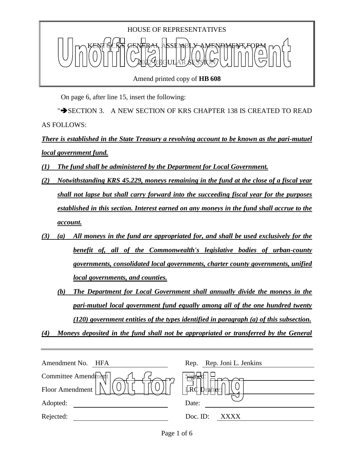

Amend printed copy of **HB 608**

On page 6, after line 15, insert the following:

">SECTION 3. A NEW SECTION OF KRS CHAPTER 138 IS CREATED TO READ AS FOLLOWS:

*There is established in the State Treasury a revolving account to be known as the pari-mutuel local government fund.* 

- *(1) The fund shall be administered by the Department for Local Government.*
- *(2) Notwithstanding KRS 45.229, moneys remaining in the fund at the close of a fiscal year shall not lapse but shall carry forward into the succeeding fiscal year for the purposes established in this section. Interest earned on any moneys in the fund shall accrue to the account.*
- *(3) (a) All moneys in the fund are appropriated for, and shall be used exclusively for the benefit of, all of the Commonwealth's legislative bodies of urban-county governments, consolidated local governments, charter county governments, unified local governments, and counties.*
	- *(b) The Department for Local Government shall annually divide the moneys in the pari-mutuel local government fund equally among all of the one hundred twenty (120) government entities of the types identified in paragraph (a) of this subsection.*

*(4) Moneys deposited in the fund shall not be appropriated or transferred by the General* 

| Amendment No.<br>HFA | Rep. Rep. Joni L. Jenkins |
|----------------------|---------------------------|
| Committee Amendment  |                           |
| Floor Amendment      | $\vert$ LRC prafter:      |
| Adopted:             | Date:                     |
| Rejected:            | Doc. ID:<br>XXXX          |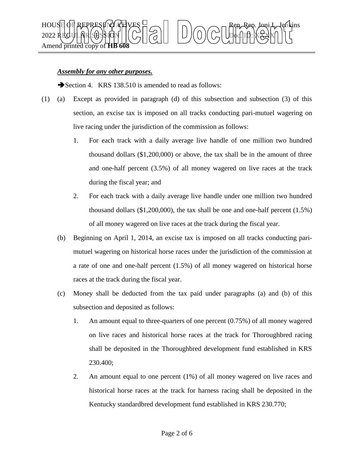

## *Assembly for any other purposes.*

Section 4. KRS 138.510 is amended to read as follows:

- (1) (a) Except as provided in paragraph (d) of this subsection and subsection (3) of this section, an excise tax is imposed on all tracks conducting pari-mutuel wagering on live racing under the jurisdiction of the commission as follows:
	- 1. For each track with a daily average live handle of one million two hundred thousand dollars (\$1,200,000) or above, the tax shall be in the amount of three and one-half percent (3.5%) of all money wagered on live races at the track during the fiscal year; and
	- 2. For each track with a daily average live handle under one million two hundred thousand dollars (\$1,200,000), the tax shall be one and one-half percent (1.5%) of all money wagered on live races at the track during the fiscal year.
	- (b) Beginning on April 1, 2014, an excise tax is imposed on all tracks conducting parimutuel wagering on historical horse races under the jurisdiction of the commission at a rate of one and one-half percent (1.5%) of all money wagered on historical horse races at the track during the fiscal year.
	- (c) Money shall be deducted from the tax paid under paragraphs (a) and (b) of this subsection and deposited as follows:
		- 1. An amount equal to three-quarters of one percent (0.75%) of all money wagered on live races and historical horse races at the track for Thoroughbred racing shall be deposited in the Thoroughbred development fund established in KRS 230.400;
		- 2. An amount equal to one percent (1%) of all money wagered on live races and historical horse races at the track for harness racing shall be deposited in the Kentucky standardbred development fund established in KRS 230.770;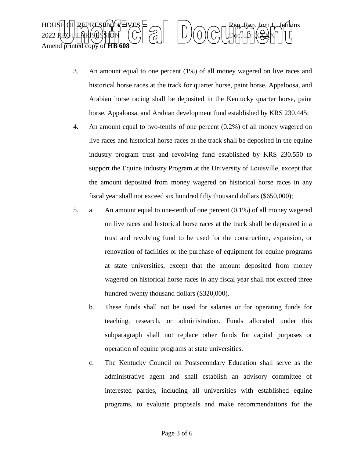

- 3. An amount equal to one percent (1%) of all money wagered on live races and historical horse races at the track for quarter horse, paint horse, Appaloosa, and Arabian horse racing shall be deposited in the Kentucky quarter horse, paint horse, Appaloosa, and Arabian development fund established by KRS 230.445;
- 4. An amount equal to two-tenths of one percent (0.2%) of all money wagered on live races and historical horse races at the track shall be deposited in the equine industry program trust and revolving fund established by KRS 230.550 to support the Equine Industry Program at the University of Louisville, except that the amount deposited from money wagered on historical horse races in any fiscal year shall not exceed six hundred fifty thousand dollars (\$650,000);
- 5. a. An amount equal to one-tenth of one percent (0.1%) of all money wagered on live races and historical horse races at the track shall be deposited in a trust and revolving fund to be used for the construction, expansion, or renovation of facilities or the purchase of equipment for equine programs at state universities, except that the amount deposited from money wagered on historical horse races in any fiscal year shall not exceed three hundred twenty thousand dollars (\$320,000).
	- b. These funds shall not be used for salaries or for operating funds for teaching, research, or administration. Funds allocated under this subparagraph shall not replace other funds for capital purposes or operation of equine programs at state universities.
	- c. The Kentucky Council on Postsecondary Education shall serve as the administrative agent and shall establish an advisory committee of interested parties, including all universities with established equine programs, to evaluate proposals and make recommendations for the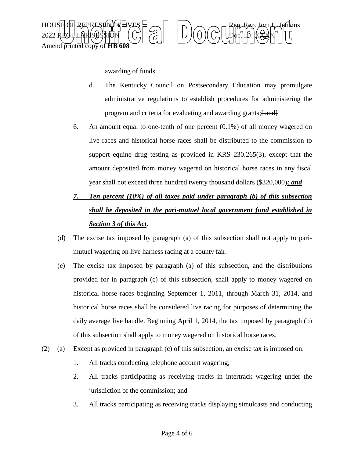

awarding of funds.

- d. The Kentucky Council on Postsecondary Education may promulgate administrative regulations to establish procedures for administering the program and criteria for evaluating and awarding grants; [ and]
- 6. An amount equal to one-tenth of one percent (0.1%) of all money wagered on live races and historical horse races shall be distributed to the commission to support equine drug testing as provided in KRS 230.265(3), except that the amount deposited from money wagered on historical horse races in any fiscal year shall not exceed three hundred twenty thousand dollars (\$320,000)*; and*
- *7. Ten percent (10%) of all taxes paid under paragraph (b) of this subsection shall be deposited in the pari-mutuel local government fund established in Section 3 of this Act*.
- (d) The excise tax imposed by paragraph (a) of this subsection shall not apply to parimutuel wagering on live harness racing at a county fair.
- (e) The excise tax imposed by paragraph (a) of this subsection, and the distributions provided for in paragraph (c) of this subsection, shall apply to money wagered on historical horse races beginning September 1, 2011, through March 31, 2014, and historical horse races shall be considered live racing for purposes of determining the daily average live handle. Beginning April 1, 2014, the tax imposed by paragraph (b) of this subsection shall apply to money wagered on historical horse races.
- (2) (a) Except as provided in paragraph (c) of this subsection, an excise tax is imposed on:
	- 1. All tracks conducting telephone account wagering;
	- 2. All tracks participating as receiving tracks in intertrack wagering under the jurisdiction of the commission; and
	- 3. All tracks participating as receiving tracks displaying simulcasts and conducting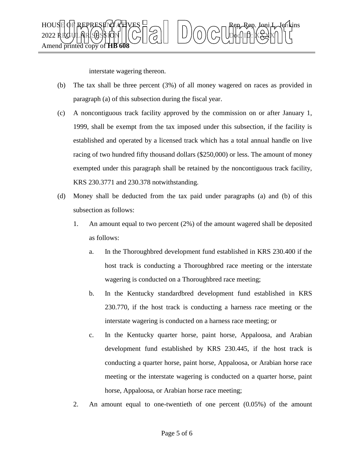

interstate wagering thereon.

- (b) The tax shall be three percent (3%) of all money wagered on races as provided in paragraph (a) of this subsection during the fiscal year.
- (c) A noncontiguous track facility approved by the commission on or after January 1, 1999, shall be exempt from the tax imposed under this subsection, if the facility is established and operated by a licensed track which has a total annual handle on live racing of two hundred fifty thousand dollars (\$250,000) or less. The amount of money exempted under this paragraph shall be retained by the noncontiguous track facility, KRS 230.3771 and 230.378 notwithstanding.
- (d) Money shall be deducted from the tax paid under paragraphs (a) and (b) of this subsection as follows:
	- 1. An amount equal to two percent (2%) of the amount wagered shall be deposited as follows:
		- a. In the Thoroughbred development fund established in KRS 230.400 if the host track is conducting a Thoroughbred race meeting or the interstate wagering is conducted on a Thoroughbred race meeting;
		- b. In the Kentucky standardbred development fund established in KRS 230.770, if the host track is conducting a harness race meeting or the interstate wagering is conducted on a harness race meeting; or
		- c. In the Kentucky quarter horse, paint horse, Appaloosa, and Arabian development fund established by KRS 230.445, if the host track is conducting a quarter horse, paint horse, Appaloosa, or Arabian horse race meeting or the interstate wagering is conducted on a quarter horse, paint horse, Appaloosa, or Arabian horse race meeting;
	- 2. An amount equal to one-twentieth of one percent (0.05%) of the amount